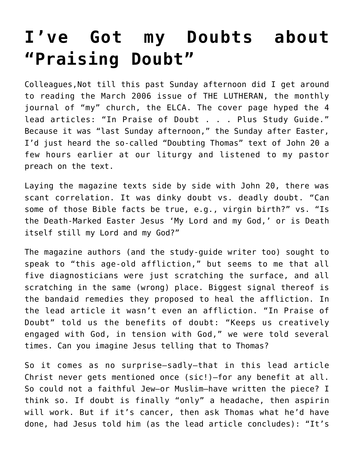## **[I've Got my Doubts about](https://crossings.org/ive-got-my-doubts-about-praising-doubt/) ["Praising Doubt"](https://crossings.org/ive-got-my-doubts-about-praising-doubt/)**

Colleagues,Not till this past Sunday afternoon did I get around to reading the March 2006 issue of THE LUTHERAN, the monthly journal of "my" church, the ELCA. The cover page hyped the 4 lead articles: "In Praise of Doubt . . . Plus Study Guide." Because it was "last Sunday afternoon," the Sunday after Easter, I'd just heard the so-called "Doubting Thomas" text of John 20 a few hours earlier at our liturgy and listened to my pastor preach on the text.

Laying the magazine texts side by side with John 20, there was scant correlation. It was dinky doubt vs. deadly doubt. "Can some of those Bible facts be true, e.g., virgin birth?" vs. "Is the Death-Marked Easter Jesus 'My Lord and my God,' or is Death itself still my Lord and my God?"

The magazine authors (and the study-guide writer too) sought to speak to "this age-old affliction," but seems to me that all five diagnosticians were just scratching the surface, and all scratching in the same (wrong) place. Biggest signal thereof is the bandaid remedies they proposed to heal the affliction. In the lead article it wasn't even an affliction. "In Praise of Doubt" told us the benefits of doubt: "Keeps us creatively engaged with God, in tension with God," we were told several times. Can you imagine Jesus telling that to Thomas?

So it comes as no surprise–sadly–that in this lead article Christ never gets mentioned once (sic!)–for any benefit at all. So could not a faithful Jew–or Muslim–have written the piece? I think so. If doubt is finally "only" a headache, then aspirin will work. But if it's cancer, then ask Thomas what he'd have done, had Jesus told him (as the lead article concludes): "It's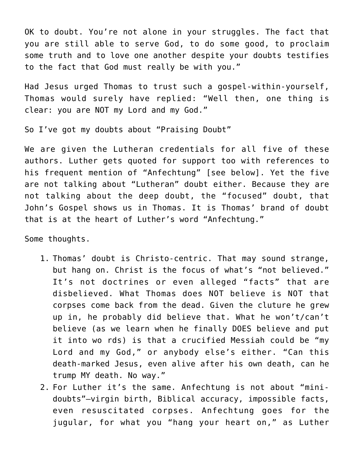OK to doubt. You're not alone in your struggles. The fact that you are still able to serve God, to do some good, to proclaim some truth and to love one another despite your doubts testifies to the fact that God must really be with you."

Had Jesus urged Thomas to trust such a gospel-within-yourself, Thomas would surely have replied: "Well then, one thing is clear: you are NOT my Lord and my God."

So I've got my doubts about "Praising Doubt"

We are given the Lutheran credentials for all five of these authors. Luther gets quoted for support too with references to his frequent mention of "Anfechtung" [see below]. Yet the five are not talking about "Lutheran" doubt either. Because they are not talking about the deep doubt, the "focused" doubt, that John's Gospel shows us in Thomas. It is Thomas' brand of doubt that is at the heart of Luther's word "Anfechtung."

Some thoughts.

- 1. Thomas' doubt is Christo-centric. That may sound strange, but hang on. Christ is the focus of what's "not believed." It's not doctrines or even alleged "facts" that are disbelieved. What Thomas does NOT believe is NOT that corpses come back from the dead. Given the cluture he grew up in, he probably did believe that. What he won't/can't believe (as we learn when he finally DOES believe and put it into wo rds) is that a crucified Messiah could be "my Lord and my God," or anybody else's either. "Can this death-marked Jesus, even alive after his own death, can he trump MY death. No way."
- 2. For Luther it's the same. Anfechtung is not about "minidoubts"–virgin birth, Biblical accuracy, impossible facts, even resuscitated corpses. Anfechtung goes for the jugular, for what you "hang your heart on," as Luther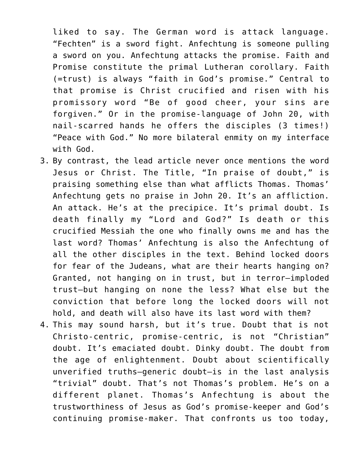liked to say. The German word is attack language. "Fechten" is a sword fight. Anfechtung is someone pulling a sword on you. Anfechtung attacks the promise. Faith and Promise constitute the primal Lutheran corollary. Faith (=trust) is always "faith in God's promise." Central to that promise is Christ crucified and risen with his promissory word "Be of good cheer, your sins are forgiven." Or in the promise-language of John 20, with nail-scarred hands he offers the disciples (3 times!) "Peace with God." No more bilateral enmity on my interface with God.

- 3. By contrast, the lead article never once mentions the word Jesus or Christ. The Title, "In praise of doubt," is praising something else than what afflicts Thomas. Thomas' Anfechtung gets no praise in John 20. It's an affliction. An attack. He's at the precipice. It's primal doubt. Is death finally my "Lord and God?" Is death or this crucified Messiah the one who finally owns me and has the last word? Thomas' Anfechtung is also the Anfechtung of all the other disciples in the text. Behind locked doors for fear of the Judeans, what are their hearts hanging on? Granted, not hanging on in trust, but in terror–imploded trust–but hanging on none the less? What else but the conviction that before long the locked doors will not hold, and death will also have its last word with them?
- 4. This may sound harsh, but it's true. Doubt that is not Christo-centric, promise-centric, is not "Christian" doubt. It's emaciated doubt. Dinky doubt. The doubt from the age of enlightenment. Doubt about scientifically unverified truths–generic doubt–is in the last analysis "trivial" doubt. That's not Thomas's problem. He's on a different planet. Thomas's Anfechtung is about the trustworthiness of Jesus as God's promise-keeper and God's continuing promise-maker. That confronts us too today,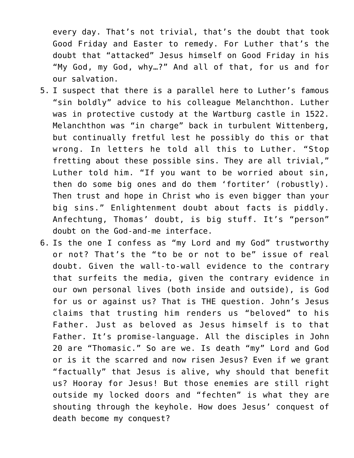every day. That's not trivial, that's the doubt that took Good Friday and Easter to remedy. For Luther that's the doubt that "attacked" Jesus himself on Good Friday in his "My God, my God, why…?" And all of that, for us and for our salvation.

- 5. I suspect that there is a parallel here to Luther's famous "sin boldly" advice to his colleague Melanchthon. Luther was in protective custody at the Wartburg castle in 1522. Melanchthon was "in charge" back in turbulent Wittenberg, but continually fretful lest he possibly do this or that wrong. In letters he told all this to Luther. "Stop fretting about these possible sins. They are all trivial," Luther told him. "If you want to be worried about sin, then do some big ones and do them 'fortiter' (robustly). Then trust and hope in Christ who is even bigger than your big sins." Enlightenment doubt about facts is piddly. Anfechtung, Thomas' doubt, is big stuff. It's "person" doubt on the God-and-me interface.
- 6. Is the one I confess as "my Lord and my God" trustworthy or not? That's the "to be or not to be" issue of real doubt. Given the wall-to-wall evidence to the contrary that surfeits the media, given the contrary evidence in our own personal lives (both inside and outside), is God for us or against us? That is THE question. John's Jesus claims that trusting him renders us "beloved" to his Father. Just as beloved as Jesus himself is to that Father. It's promise-language. All the disciples in John 20 are "Thomasic." So are we. Is death "my" Lord and God or is it the scarred and now risen Jesus? Even if we grant "factually" that Jesus is alive, why should that benefit us? Hooray for Jesus! But those enemies are still right outside my locked doors and "fechten" is what they are shouting through the keyhole. How does Jesus' conquest of death become my conquest?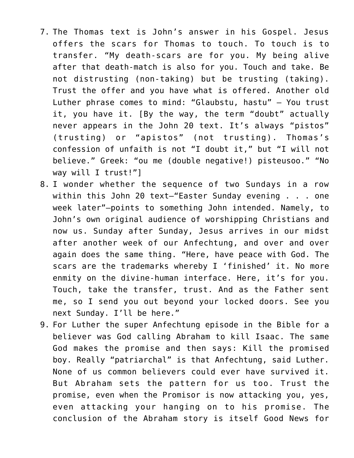- 7. The Thomas text is John's answer in his Gospel. Jesus offers the scars for Thomas to touch. To touch is to transfer. "My death-scars are for you. My being alive after that death-match is also for you. Touch and take. Be not distrusting (non-taking) but be trusting (taking). Trust the offer and you have what is offered. Another old Luther phrase comes to mind: "Glaubstu, hastu" — You trust it, you have it. [By the way, the term "doubt" actually never appears in the John 20 text. It's always "pistos" (trusting) or "apistos" (not trusting). Thomas's confession of unfaith is not "I doubt it," but "I will not believe." Greek: "ou me (double negative!) pisteusoo." "No way will I trust!"]
- 8. I wonder whether the sequence of two Sundays in a row within this John 20 text–"Easter Sunday evening . . . one week later"–points to something John intended. Namely, to John's own original audience of worshipping Christians and now us. Sunday after Sunday, Jesus arrives in our midst after another week of our Anfechtung, and over and over again does the same thing. "Here, have peace with God. The scars are the trademarks whereby I 'finished' it. No more enmity on the divine-human interface. Here, it's for you. Touch, take the transfer, trust. And as the Father sent me, so I send you out beyond your locked doors. See you next Sunday. I'll be here."
- 9. For Luther the super Anfechtung episode in the Bible for a believer was God calling Abraham to kill Isaac. The same God makes the promise and then says: Kill the promised boy. Really "patriarchal" is that Anfechtung, said Luther. None of us common believers could ever have survived it. But Abraham sets the pattern for us too. Trust the promise, even when the Promisor is now attacking you, yes, even attacking your hanging on to his promise. The conclusion of the Abraham story is itself Good News for